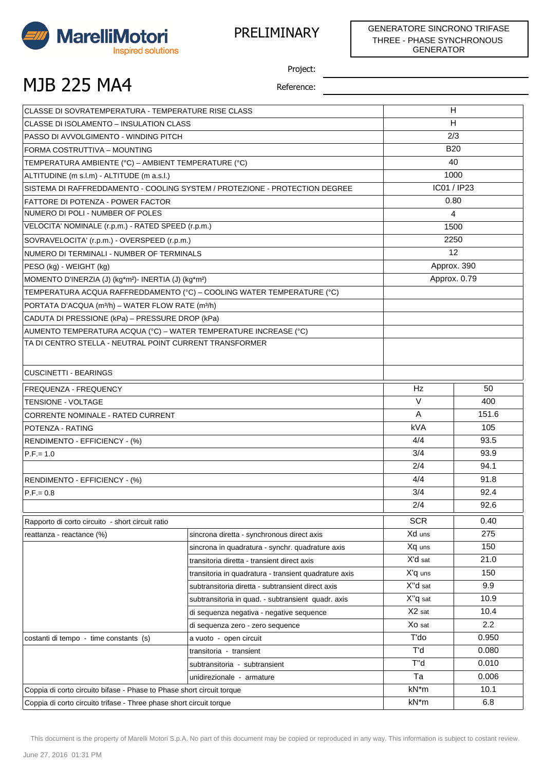

## MJB 225 MA4

Project:

| CLASSE DI SOVRATEMPERATURA - TEMPERATURE RISE CLASS                          |                                                       | H            |                |  |
|------------------------------------------------------------------------------|-------------------------------------------------------|--------------|----------------|--|
| CLASSE DI ISOLAMENTO - INSULATION CLASS                                      |                                                       | н            |                |  |
| PASSO DI AVVOLGIMENTO - WINDING PITCH                                        |                                                       | 2/3          |                |  |
| FORMA COSTRUTTIVA - MOUNTING                                                 |                                                       | <b>B20</b>   |                |  |
| TEMPERATURA AMBIENTE (°C) – AMBIENT TEMPERATURE (°C)                         |                                                       | 40           |                |  |
| ALTITUDINE (m s.l.m) - ALTITUDE (m a.s.l.)                                   |                                                       | 1000         |                |  |
| SISTEMA DI RAFFREDDAMENTO - COOLING SYSTEM / PROTEZIONE - PROTECTION DEGREE  |                                                       | IC01 / IP23  |                |  |
| <b>FATTORE DI POTENZA - POWER FACTOR</b>                                     |                                                       | 0.80         |                |  |
| NUMERO DI POLI - NUMBER OF POLES                                             |                                                       |              | $\overline{4}$ |  |
| VELOCITA' NOMINALE (r.p.m.) - RATED SPEED (r.p.m.)                           |                                                       |              | 1500           |  |
| SOVRAVELOCITA' (r.p.m.) - OVERSPEED (r.p.m.)                                 |                                                       |              | 2250           |  |
| NUMERO DI TERMINALI - NUMBER OF TERMINALS                                    |                                                       | 12           |                |  |
| PESO (kg) - WEIGHT (kg)                                                      |                                                       | Approx. 390  |                |  |
| MOMENTO D'INERZIA (J) (kg*m <sup>2</sup> )- INERTIA (J) (kg*m <sup>2</sup> ) |                                                       | Approx. 0.79 |                |  |
| TEMPERATURA ACQUA RAFFREDDAMENTO (°C) – COOLING WATER TEMPERATURE (°C)       |                                                       |              |                |  |
| PORTATA D'ACQUA (m <sup>3/</sup> h) - WATER FLOW RATE (m <sup>3/</sup> h)    |                                                       |              |                |  |
| CADUTA DI PRESSIONE (kPa) – PRESSURE DROP (kPa)                              |                                                       |              |                |  |
| AUMENTO TEMPERATURA ACQUA (°C) - WATER TEMPERATURE INCREASE (°C)             |                                                       |              |                |  |
| TA DI CENTRO STELLA - NEUTRAL POINT CURRENT TRANSFORMER                      |                                                       |              |                |  |
|                                                                              |                                                       |              |                |  |
| <b>CUSCINETTI - BEARINGS</b>                                                 |                                                       |              |                |  |
| FREQUENZA - FREQUENCY                                                        |                                                       | Hz           | 50             |  |
| <b>TENSIONE - VOLTAGE</b>                                                    |                                                       | $\vee$       | 400            |  |
| CORRENTE NOMINALE - RATED CURRENT                                            |                                                       | Α            | 151.6          |  |
| POTENZA - RATING                                                             |                                                       | <b>kVA</b>   | 105            |  |
| <b>RENDIMENTO - EFFICIENCY - (%)</b>                                         |                                                       | 4/4          | 93.5           |  |
| $P.F = 1.0$                                                                  |                                                       | 3/4          | 93.9           |  |
|                                                                              |                                                       | 2/4          | 94.1           |  |
| RENDIMENTO - EFFICIENCY - (%)                                                |                                                       | 4/4          | 91.8           |  |
| $P.F = 0.8$                                                                  |                                                       | 3/4          | 92.4           |  |
|                                                                              |                                                       | 2/4          | 92.6           |  |
| Rapporto di corto circuito - short circuit ratio                             |                                                       | <b>SCR</b>   | 0.40           |  |
| reattanza - reactance (%)                                                    | sincrona diretta - synchronous direct axis            | Xd uns       | 275            |  |
|                                                                              | sincrona in quadratura - synchr. quadrature axis      | Xq uns       | 150            |  |
|                                                                              | transitoria diretta - transient direct axis           | X'd sat      | 21.0           |  |
|                                                                              | transitoria in quadratura - transient quadrature axis | X'q uns      | 150            |  |
|                                                                              | subtransitoria diretta - subtransient direct axis     | X"d sat      | 9.9            |  |
|                                                                              | subtransitoria in quad. - subtransient quadr. axis    | X"q sat      | 10.9           |  |
|                                                                              | di sequenza negativa - negative sequence              | X2 sat       | 10.4           |  |
|                                                                              | di sequenza zero - zero sequence                      | Xo sat       | 2.2            |  |
| costanti di tempo - time constants (s)                                       | a vuoto - open circuit                                | T'do         | 0.950          |  |
|                                                                              | transitoria - transient                               | T'd          | 0.080          |  |
|                                                                              | subtransitoria - subtransient                         | T"d          | 0.010          |  |
|                                                                              | unidirezionale - armature                             | Ta           | 0.006          |  |
| Coppia di corto circuito bifase - Phase to Phase short circuit torque        |                                                       | kN*m         | 10.1           |  |
| Coppia di corto circuito trifase - Three phase short circuit torque          |                                                       | kN*m         | 6.8            |  |
|                                                                              |                                                       |              |                |  |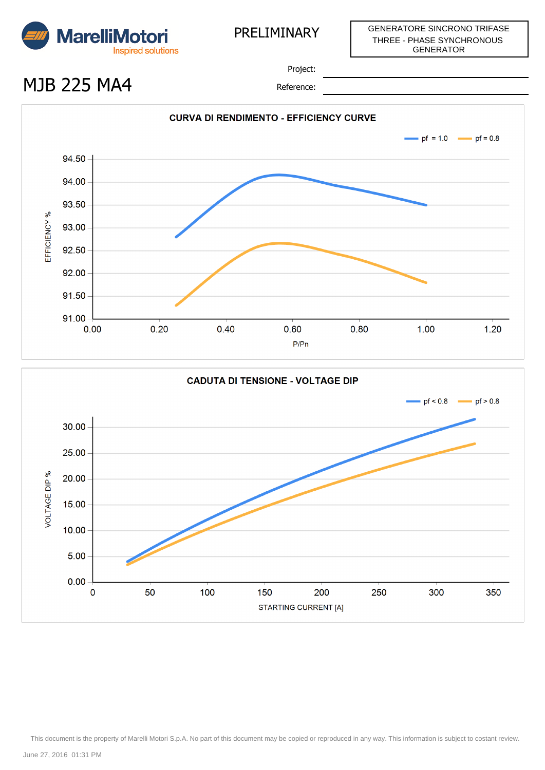

## MJB 225 MA4

Project:

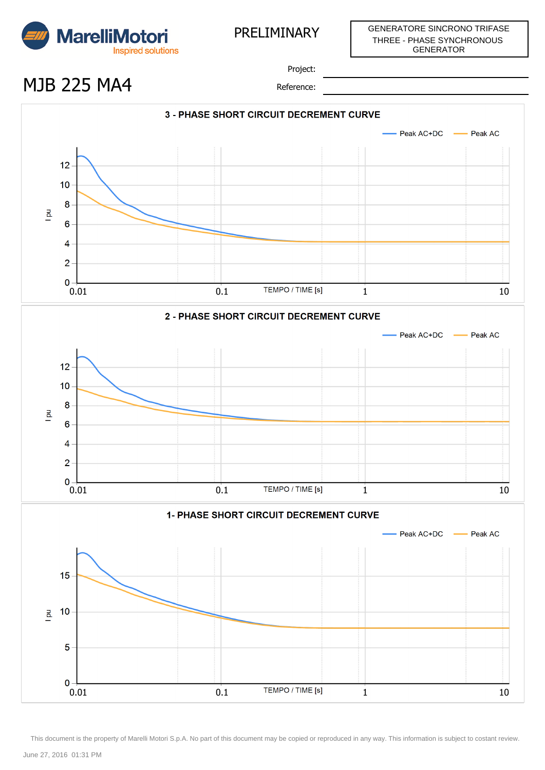

GENERATORE SINCRONO TRIFASE THREE - PHASE SYNCHRONOUS GENERATOR

Project:

MJB 225 MA4

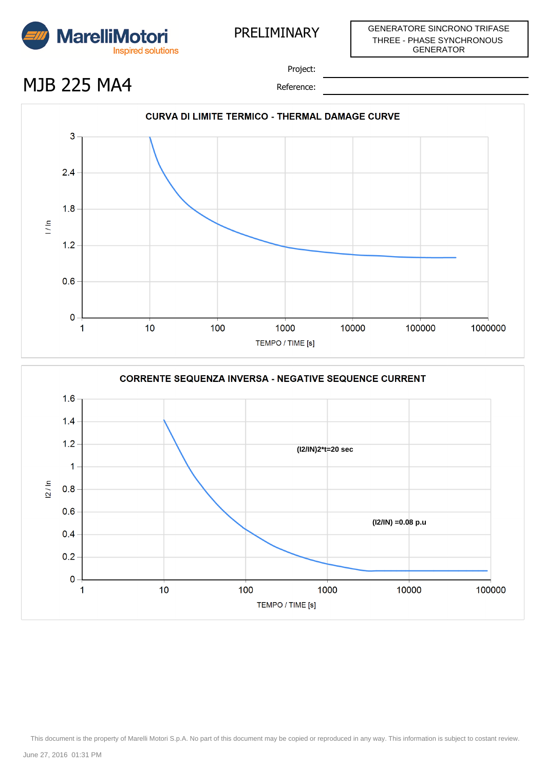

## MJB 225 MA4

Project:



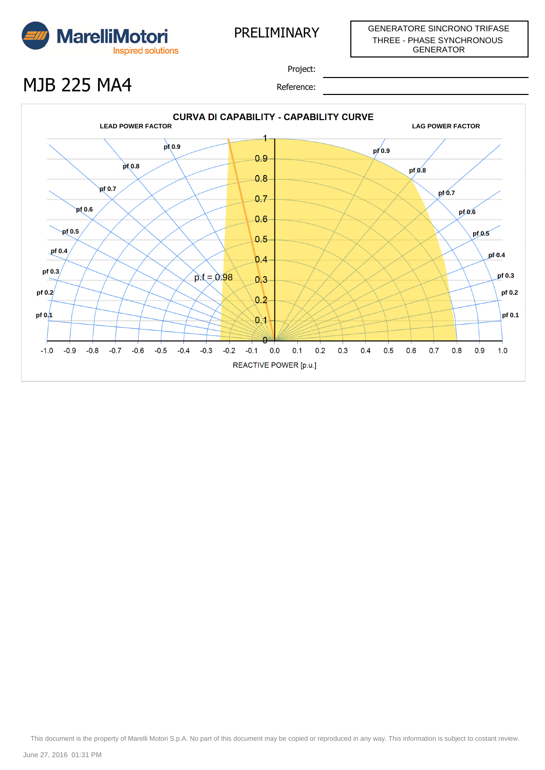

## MJB 225 MA4

Project: